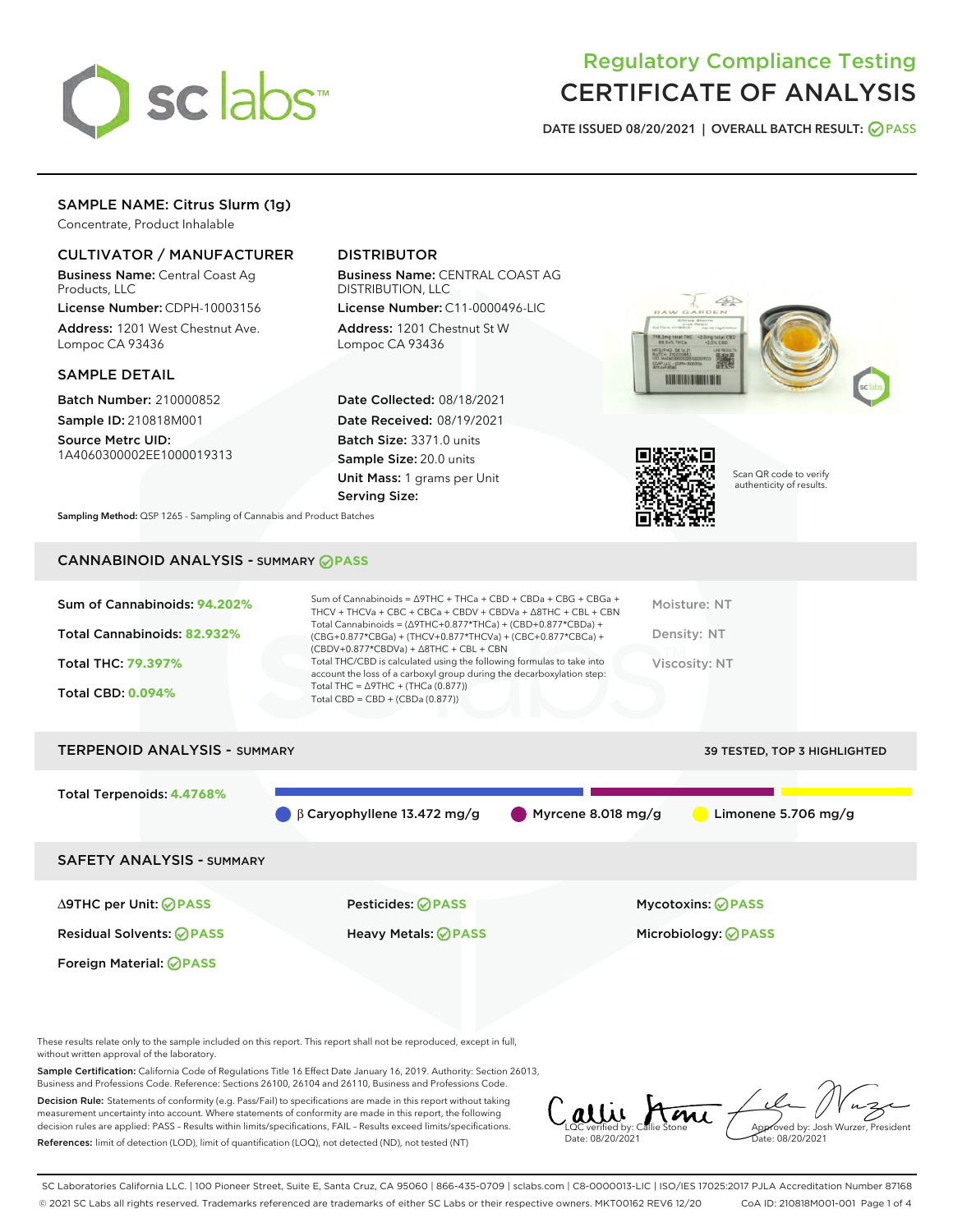

## Regulatory Compliance Testing CERTIFICATE OF ANALYSIS

DATE ISSUED 08/20/2021 | OVERALL BATCH RESULT: @ PASS

## SAMPLE NAME: Citrus Slurm (1g)

Concentrate, Product Inhalable

## CULTIVATOR / MANUFACTURER

Business Name: Central Coast Ag Products, LLC

License Number: CDPH-10003156 Address: 1201 West Chestnut Ave. Lompoc CA 93436

#### SAMPLE DETAIL

Batch Number: 210000852 Sample ID: 210818M001 Source Metrc UID:

1A4060300002EE1000019313

## DISTRIBUTOR

Business Name: CENTRAL COAST AG DISTRIBUTION, LLC

License Number: C11-0000496-LIC Address: 1201 Chestnut St W Lompoc CA 93436

Date Collected: 08/18/2021 Date Received: 08/19/2021 Batch Size: 3371.0 units Sample Size: 20.0 units Unit Mass: 1 grams per Unit Serving Size:





Scan QR code to verify authenticity of results.

Sampling Method: QSP 1265 - Sampling of Cannabis and Product Batches

## CANNABINOID ANALYSIS - SUMMARY **PASS**

| Sum of Cannabinoids: 94.202% | Sum of Cannabinoids = $\triangle$ 9THC + THCa + CBD + CBDa + CBG + CBGa +<br>THCV + THCVa + CBC + CBCa + CBDV + CBDVa + $\Delta$ 8THC + CBL + CBN                                    | Moisture: NT  |
|------------------------------|--------------------------------------------------------------------------------------------------------------------------------------------------------------------------------------|---------------|
| Total Cannabinoids: 82.932%  | Total Cannabinoids = $(\Delta$ 9THC+0.877*THCa) + (CBD+0.877*CBDa) +<br>(CBG+0.877*CBGa) + (THCV+0.877*THCVa) + (CBC+0.877*CBCa) +<br>$(CBDV+0.877*CBDVa) + \Delta 8THC + CBL + CBN$ | Density: NT   |
| Total THC: 79.397%           | Total THC/CBD is calculated using the following formulas to take into<br>account the loss of a carboxyl group during the decarboxylation step:                                       | Viscosity: NT |
| <b>Total CBD: 0.094%</b>     | Total THC = $\triangle$ 9THC + (THCa (0.877))<br>Total CBD = $CBD + (CBDa (0.877))$                                                                                                  |               |
|                              |                                                                                                                                                                                      |               |

# TERPENOID ANALYSIS - SUMMARY 39 TESTED, TOP 3 HIGHLIGHTED Total Terpenoids: **4.4768%** β Caryophyllene 13.472 mg/g Myrcene 8.018 mg/g Limonene 5.706 mg/g SAFETY ANALYSIS - SUMMARY

Foreign Material: **PASS**

∆9THC per Unit: **PASS** Pesticides: **PASS** Mycotoxins: **PASS**

Residual Solvents: **PASS** Heavy Metals: **PASS** Microbiology: **PASS**

These results relate only to the sample included on this report. This report shall not be reproduced, except in full, without written approval of the laboratory.

Sample Certification: California Code of Regulations Title 16 Effect Date January 16, 2019. Authority: Section 26013, Business and Professions Code. Reference: Sections 26100, 26104 and 26110, Business and Professions Code.

Decision Rule: Statements of conformity (e.g. Pass/Fail) to specifications are made in this report without taking measurement uncertainty into account. Where statements of conformity are made in this report, the following decision rules are applied: PASS – Results within limits/specifications, FAIL – Results exceed limits/specifications. References: limit of detection (LOD), limit of quantification (LOQ), not detected (ND), not tested (NT)

Callie Ami Date: 08/20/2021 Approved by: Josh Wurzer, President Date: 08/20/2021

SC Laboratories California LLC. | 100 Pioneer Street, Suite E, Santa Cruz, CA 95060 | 866-435-0709 | sclabs.com | C8-0000013-LIC | ISO/IES 17025:2017 PJLA Accreditation Number 87168 © 2021 SC Labs all rights reserved. Trademarks referenced are trademarks of either SC Labs or their respective owners. MKT00162 REV6 12/20 CoA ID: 210818M001-001 Page 1 of 4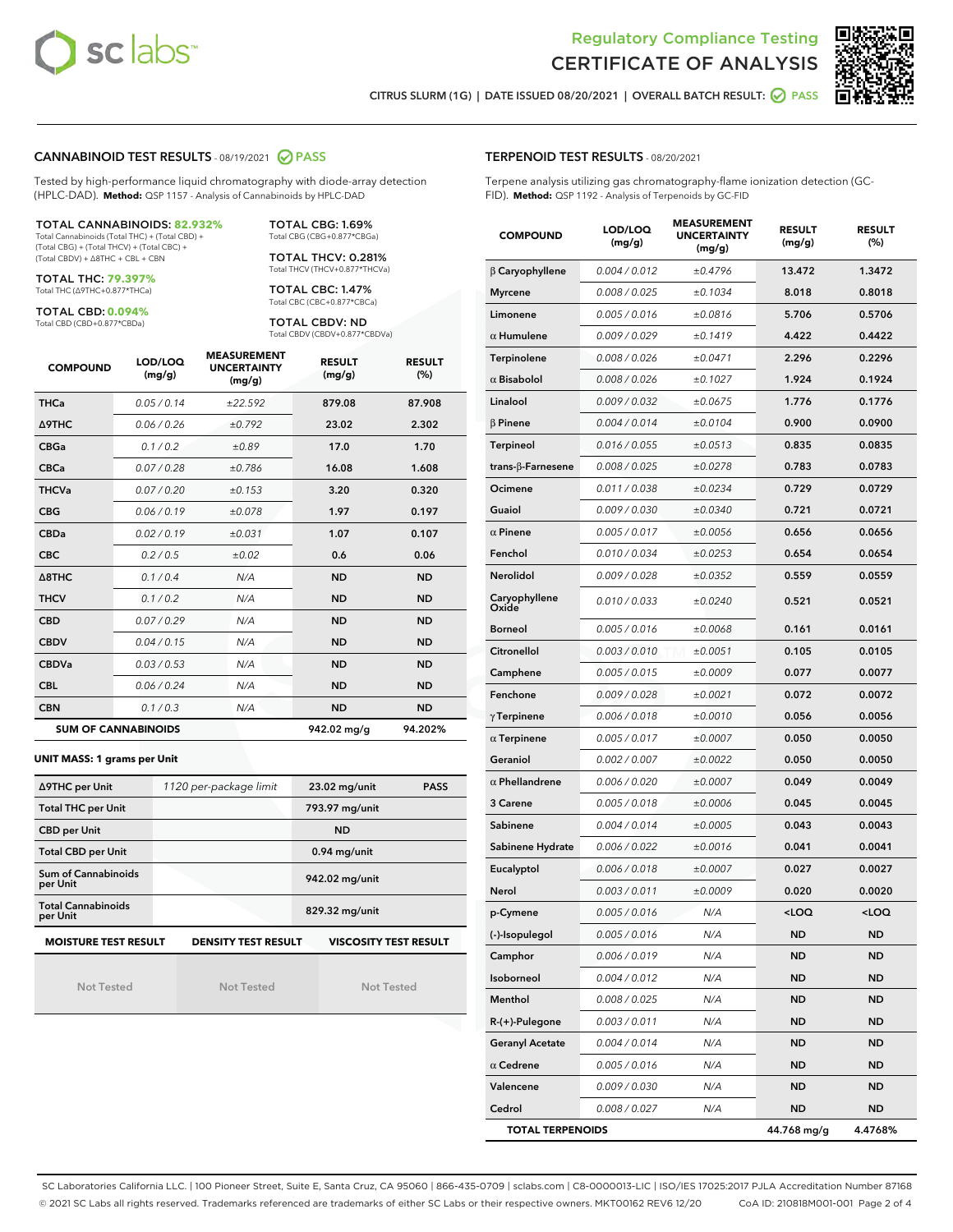



CITRUS SLURM (1G) | DATE ISSUED 08/20/2021 | OVERALL BATCH RESULT:  $\bigcirc$  PASS

#### CANNABINOID TEST RESULTS - 08/19/2021 2 PASS

Tested by high-performance liquid chromatography with diode-array detection (HPLC-DAD). **Method:** QSP 1157 - Analysis of Cannabinoids by HPLC-DAD

#### TOTAL CANNABINOIDS: **82.932%**

Total Cannabinoids (Total THC) + (Total CBD) + (Total CBG) + (Total THCV) + (Total CBC) + (Total CBDV) + ∆8THC + CBL + CBN

TOTAL THC: **79.397%** Total THC (∆9THC+0.877\*THCa)

TOTAL CBD: **0.094%**

Total CBD (CBD+0.877\*CBDa)

TOTAL CBG: 1.69% Total CBG (CBG+0.877\*CBGa)

TOTAL THCV: 0.281% Total THCV (THCV+0.877\*THCVa)

TOTAL CBC: 1.47% Total CBC (CBC+0.877\*CBCa)

TOTAL CBDV: ND Total CBDV (CBDV+0.877\*CBDVa)

| <b>COMPOUND</b>            | LOD/LOQ<br>(mg/g) | <b>MEASUREMENT</b><br><b>UNCERTAINTY</b><br>(mg/g) | <b>RESULT</b><br>(mg/g) | <b>RESULT</b><br>(%) |
|----------------------------|-------------------|----------------------------------------------------|-------------------------|----------------------|
| <b>THCa</b>                | 0.05/0.14         | ±22.592                                            | 879.08                  | 87.908               |
| <b>A9THC</b>               | 0.06 / 0.26       | ±0.792                                             | 23.02                   | 2.302                |
| <b>CBGa</b>                | 0.1/0.2           | ±0.89                                              | 17.0                    | 1.70                 |
| <b>CBCa</b>                | 0.07/0.28         | ±0.786                                             | 16.08                   | 1.608                |
| <b>THCVa</b>               | 0.07/0.20         | ±0.153                                             | 3.20                    | 0.320                |
| <b>CBG</b>                 | 0.06/0.19         | ±0.078                                             | 1.97                    | 0.197                |
| <b>CBDa</b>                | 0.02 / 0.19       | ±0.031                                             | 1.07                    | 0.107                |
| <b>CBC</b>                 | 0.2 / 0.5         | ±0.02                                              | 0.6                     | 0.06                 |
| $\triangle$ 8THC           | 0.1/0.4           | N/A                                                | <b>ND</b>               | <b>ND</b>            |
| <b>THCV</b>                | 0.1/0.2           | N/A                                                | <b>ND</b>               | <b>ND</b>            |
| <b>CBD</b>                 | 0.07/0.29         | N/A                                                | <b>ND</b>               | <b>ND</b>            |
| <b>CBDV</b>                | 0.04 / 0.15       | N/A                                                | <b>ND</b>               | <b>ND</b>            |
| <b>CBDVa</b>               | 0.03/0.53         | N/A                                                | <b>ND</b>               | <b>ND</b>            |
| <b>CBL</b>                 | 0.06 / 0.24       | N/A                                                | <b>ND</b>               | <b>ND</b>            |
| <b>CBN</b>                 | 0.1/0.3           | N/A                                                | <b>ND</b>               | <b>ND</b>            |
| <b>SUM OF CANNABINOIDS</b> |                   |                                                    | 942.02 mg/g             | 94.202%              |

#### **UNIT MASS: 1 grams per Unit**

| ∆9THC per Unit                        | 1120 per-package limit     | 23.02 mg/unit<br><b>PASS</b> |  |
|---------------------------------------|----------------------------|------------------------------|--|
| <b>Total THC per Unit</b>             |                            | 793.97 mg/unit               |  |
| <b>CBD per Unit</b>                   |                            | <b>ND</b>                    |  |
| <b>Total CBD per Unit</b>             |                            | $0.94$ mg/unit               |  |
| Sum of Cannabinoids<br>per Unit       |                            | 942.02 mg/unit               |  |
| <b>Total Cannabinoids</b><br>per Unit |                            | 829.32 mg/unit               |  |
| <b>MOISTURE TEST RESULT</b>           | <b>DENSITY TEST RESULT</b> | <b>VISCOSITY TEST RESULT</b> |  |

Not Tested

Not Tested

Not Tested

#### TERPENOID TEST RESULTS - 08/20/2021

Terpene analysis utilizing gas chromatography-flame ionization detection (GC-FID). **Method:** QSP 1192 - Analysis of Terpenoids by GC-FID

| <b>COMPOUND</b>         | LOD/LOQ<br>(mg/g) | <b>MEASUREMENT</b><br><b>UNCERTAINTY</b><br>(mg/g) | <b>RESULT</b><br>(mg/g) | <b>RESULT</b><br>$(\%)$ |
|-------------------------|-------------------|----------------------------------------------------|-------------------------|-------------------------|
| $\beta$ Caryophyllene   | 0.004 / 0.012     | ±0.4796                                            | 13.472                  | 1.3472                  |
| <b>Myrcene</b>          | 0.008 / 0.025     | ±0.1034                                            | 8.018                   | 0.8018                  |
| Limonene                | 0.005 / 0.016     | ±0.0816                                            | 5.706                   | 0.5706                  |
| $\alpha$ Humulene       | 0.009 / 0.029     | ±0.1419                                            | 4.422                   | 0.4422                  |
| <b>Terpinolene</b>      | 0.008 / 0.026     | ±0.0471                                            | 2.296                   | 0.2296                  |
| $\alpha$ Bisabolol      | 0.008 / 0.026     | ±0.1027                                            | 1.924                   | 0.1924                  |
| Linalool                | 0.009 / 0.032     | ±0.0675                                            | 1.776                   | 0.1776                  |
| <b>B</b> Pinene         | 0.004 / 0.014     | ±0.0104                                            | 0.900                   | 0.0900                  |
| <b>Terpineol</b>        | 0.016 / 0.055     | ±0.0513                                            | 0.835                   | 0.0835                  |
| trans-β-Farnesene       | 0.008 / 0.025     | ±0.0278                                            | 0.783                   | 0.0783                  |
| Ocimene                 | 0.011 / 0.038     | ±0.0234                                            | 0.729                   | 0.0729                  |
| Guaiol                  | 0.009 / 0.030     | ±0.0340                                            | 0.721                   | 0.0721                  |
| $\alpha$ Pinene         | 0.005 / 0.017     | ±0.0056                                            | 0.656                   | 0.0656                  |
| Fenchol                 | 0.010 / 0.034     | ±0.0253                                            | 0.654                   | 0.0654                  |
| Nerolidol               | 0.009 / 0.028     | ±0.0352                                            | 0.559                   | 0.0559                  |
| Caryophyllene<br>Oxide  | 0.010 / 0.033     | ±0.0240                                            | 0.521                   | 0.0521                  |
| <b>Borneol</b>          | 0.005 / 0.016     | ±0.0068                                            | 0.161                   | 0.0161                  |
| Citronellol             | 0.003 / 0.010     | ±0.0051                                            | 0.105                   | 0.0105                  |
| Camphene                | 0.005 / 0.015     | ±0.0009                                            | 0.077                   | 0.0077                  |
| Fenchone                | 0.009 / 0.028     | ±0.0021                                            | 0.072                   | 0.0072                  |
| $\gamma$ Terpinene      | 0.006 / 0.018     | ±0.0010                                            | 0.056                   | 0.0056                  |
| $\alpha$ Terpinene      | 0.005 / 0.017     | ±0.0007                                            | 0.050                   | 0.0050                  |
| Geraniol                | 0.002 / 0.007     | ±0.0022                                            | 0.050                   | 0.0050                  |
| $\alpha$ Phellandrene   | 0.006 / 0.020     | ±0.0007                                            | 0.049                   | 0.0049                  |
| 3 Carene                | 0.005 / 0.018     | ±0.0006                                            | 0.045                   | 0.0045                  |
| Sabinene                | 0.004 / 0.014     | ±0.0005                                            | 0.043                   | 0.0043                  |
| Sabinene Hydrate        | 0.006 / 0.022     | ±0.0016                                            | 0.041                   | 0.0041                  |
| Eucalyptol              | 0.006 / 0.018     | ±0.0007                                            | 0.027                   | 0.0027                  |
| Nerol                   | 0.003 / 0.011     | ±0.0009                                            | 0.020                   | 0.0020                  |
| p-Cymene                | 0.005 / 0.016     | N/A                                                | < 0                     | <loq< th=""></loq<>     |
| (-)-Isopulegol          | 0.005 / 0.016     | N/A                                                | ND                      | ND                      |
| Camphor                 | 0.006 / 0.019     | N/A                                                | ND                      | ND                      |
| Isoborneol              | 0.004 / 0.012     | N/A                                                | ND                      | ND                      |
| Menthol                 | 0.008 / 0.025     | N/A                                                | ND                      | ND                      |
| R-(+)-Pulegone          | 0.003 / 0.011     | N/A                                                | ND                      | ND                      |
| <b>Geranyl Acetate</b>  | 0.004 / 0.014     | N/A                                                | ND                      | ND                      |
| $\alpha$ Cedrene        | 0.005 / 0.016     | N/A                                                | ND                      | ND                      |
| Valencene               | 0.009 / 0.030     | N/A                                                | ND                      | ND                      |
| Cedrol                  | 0.008 / 0.027     | N/A                                                | ND                      | <b>ND</b>               |
| <b>TOTAL TERPENOIDS</b> |                   |                                                    | 44.768 mg/g             | 4.4768%                 |

SC Laboratories California LLC. | 100 Pioneer Street, Suite E, Santa Cruz, CA 95060 | 866-435-0709 | sclabs.com | C8-0000013-LIC | ISO/IES 17025:2017 PJLA Accreditation Number 87168 © 2021 SC Labs all rights reserved. Trademarks referenced are trademarks of either SC Labs or their respective owners. MKT00162 REV6 12/20 CoA ID: 210818M001-001 Page 2 of 4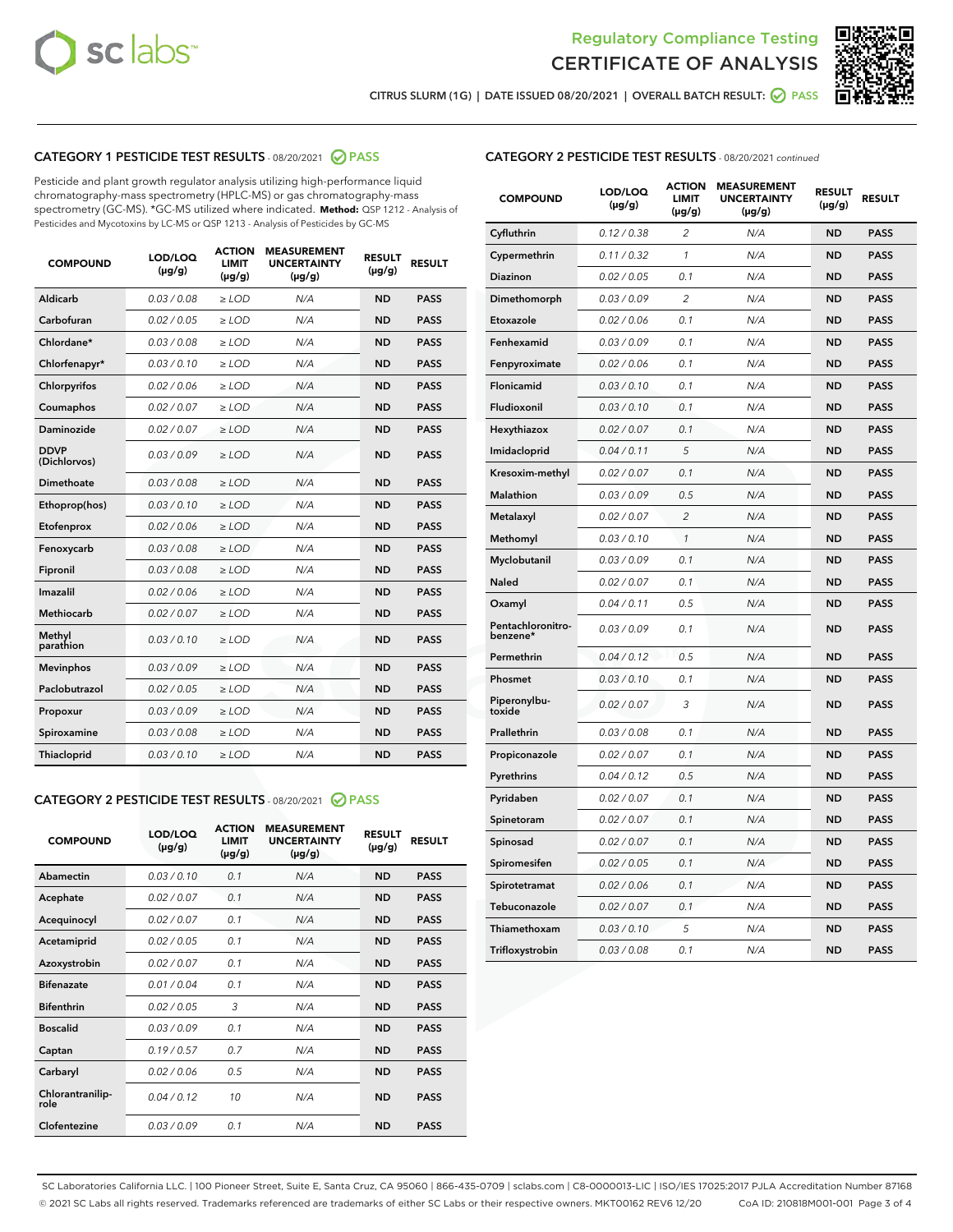



CITRUS SLURM (1G) | DATE ISSUED 08/20/2021 | OVERALL BATCH RESULT:  $\bigcirc$  PASS

## CATEGORY 1 PESTICIDE TEST RESULTS - 08/20/2021 2 PASS

Pesticide and plant growth regulator analysis utilizing high-performance liquid chromatography-mass spectrometry (HPLC-MS) or gas chromatography-mass spectrometry (GC-MS). \*GC-MS utilized where indicated. **Method:** QSP 1212 - Analysis of Pesticides and Mycotoxins by LC-MS or QSP 1213 - Analysis of Pesticides by GC-MS

| <b>COMPOUND</b>             | LOD/LOQ<br>$(\mu g/g)$ | <b>ACTION</b><br><b>LIMIT</b><br>$(\mu g/g)$ | <b>MEASUREMENT</b><br><b>UNCERTAINTY</b><br>$(\mu g/g)$ | <b>RESULT</b><br>$(\mu g/g)$ | <b>RESULT</b> |
|-----------------------------|------------------------|----------------------------------------------|---------------------------------------------------------|------------------------------|---------------|
| Aldicarb                    | 0.03 / 0.08            | $\geq$ LOD                                   | N/A                                                     | <b>ND</b>                    | <b>PASS</b>   |
| Carbofuran                  | 0.02/0.05              | $>$ LOD                                      | N/A                                                     | <b>ND</b>                    | <b>PASS</b>   |
| Chlordane*                  | 0.03 / 0.08            | $\ge$ LOD                                    | N/A                                                     | <b>ND</b>                    | <b>PASS</b>   |
| Chlorfenapyr*               | 0.03/0.10              | $>$ LOD                                      | N/A                                                     | <b>ND</b>                    | <b>PASS</b>   |
| Chlorpyrifos                | 0.02 / 0.06            | $\ge$ LOD                                    | N/A                                                     | <b>ND</b>                    | <b>PASS</b>   |
| Coumaphos                   | 0.02 / 0.07            | $\ge$ LOD                                    | N/A                                                     | <b>ND</b>                    | <b>PASS</b>   |
| Daminozide                  | 0.02 / 0.07            | $\ge$ LOD                                    | N/A                                                     | <b>ND</b>                    | <b>PASS</b>   |
| <b>DDVP</b><br>(Dichlorvos) | 0.03/0.09              | $\ge$ LOD                                    | N/A                                                     | <b>ND</b>                    | <b>PASS</b>   |
| Dimethoate                  | 0.03/0.08              | $>$ LOD                                      | N/A                                                     | <b>ND</b>                    | <b>PASS</b>   |
| Ethoprop(hos)               | 0.03/0.10              | $\ge$ LOD                                    | N/A                                                     | <b>ND</b>                    | <b>PASS</b>   |
| Etofenprox                  | 0.02 / 0.06            | $\ge$ LOD                                    | N/A                                                     | <b>ND</b>                    | <b>PASS</b>   |
| Fenoxycarb                  | 0.03 / 0.08            | $\ge$ LOD                                    | N/A                                                     | <b>ND</b>                    | <b>PASS</b>   |
| Fipronil                    | 0.03/0.08              | $>$ LOD                                      | N/A                                                     | <b>ND</b>                    | <b>PASS</b>   |
| Imazalil                    | 0.02 / 0.06            | $\ge$ LOD                                    | N/A                                                     | <b>ND</b>                    | <b>PASS</b>   |
| <b>Methiocarb</b>           | 0.02 / 0.07            | $\ge$ LOD                                    | N/A                                                     | <b>ND</b>                    | <b>PASS</b>   |
| Methyl<br>parathion         | 0.03/0.10              | $\ge$ LOD                                    | N/A                                                     | <b>ND</b>                    | <b>PASS</b>   |
| <b>Mevinphos</b>            | 0.03/0.09              | $>$ LOD                                      | N/A                                                     | <b>ND</b>                    | <b>PASS</b>   |
| Paclobutrazol               | 0.02 / 0.05            | $\ge$ LOD                                    | N/A                                                     | <b>ND</b>                    | <b>PASS</b>   |
| Propoxur                    | 0.03/0.09              | $\ge$ LOD                                    | N/A                                                     | <b>ND</b>                    | <b>PASS</b>   |
| Spiroxamine                 | 0.03 / 0.08            | $\ge$ LOD                                    | N/A                                                     | <b>ND</b>                    | <b>PASS</b>   |
| Thiacloprid                 | 0.03/0.10              | $\ge$ LOD                                    | N/A                                                     | <b>ND</b>                    | <b>PASS</b>   |

#### CATEGORY 2 PESTICIDE TEST RESULTS - 08/20/2021 @ PASS

| <b>COMPOUND</b>          | LOD/LOQ<br>$(\mu g/g)$ | <b>ACTION</b><br><b>LIMIT</b><br>$(\mu g/g)$ | <b>MEASUREMENT</b><br><b>UNCERTAINTY</b><br>$(\mu g/g)$ | <b>RESULT</b><br>$(\mu g/g)$ | <b>RESULT</b> |
|--------------------------|------------------------|----------------------------------------------|---------------------------------------------------------|------------------------------|---------------|
| Abamectin                | 0.03/0.10              | 0.1                                          | N/A                                                     | <b>ND</b>                    | <b>PASS</b>   |
| Acephate                 | 0.02/0.07              | 0.1                                          | N/A                                                     | <b>ND</b>                    | <b>PASS</b>   |
| Acequinocyl              | 0.02/0.07              | 0.1                                          | N/A                                                     | <b>ND</b>                    | <b>PASS</b>   |
| Acetamiprid              | 0.02/0.05              | 0.1                                          | N/A                                                     | <b>ND</b>                    | <b>PASS</b>   |
| Azoxystrobin             | 0.02/0.07              | 0.1                                          | N/A                                                     | <b>ND</b>                    | <b>PASS</b>   |
| <b>Bifenazate</b>        | 0.01/0.04              | 0.1                                          | N/A                                                     | <b>ND</b>                    | <b>PASS</b>   |
| <b>Bifenthrin</b>        | 0.02 / 0.05            | 3                                            | N/A                                                     | <b>ND</b>                    | <b>PASS</b>   |
| <b>Boscalid</b>          | 0.03/0.09              | 0.1                                          | N/A                                                     | <b>ND</b>                    | <b>PASS</b>   |
| Captan                   | 0.19/0.57              | 0.7                                          | N/A                                                     | <b>ND</b>                    | <b>PASS</b>   |
| Carbaryl                 | 0.02/0.06              | 0.5                                          | N/A                                                     | <b>ND</b>                    | <b>PASS</b>   |
| Chlorantranilip-<br>role | 0.04/0.12              | 10                                           | N/A                                                     | <b>ND</b>                    | <b>PASS</b>   |
| Clofentezine             | 0.03/0.09              | 0.1                                          | N/A                                                     | <b>ND</b>                    | <b>PASS</b>   |

### CATEGORY 2 PESTICIDE TEST RESULTS - 08/20/2021 continued

| <b>COMPOUND</b>               | LOD/LOQ<br>(µg/g) | <b>ACTION</b><br><b>LIMIT</b><br>$(\mu g/g)$ | <b>MEASUREMENT</b><br><b>UNCERTAINTY</b><br>$(\mu g/g)$ | <b>RESULT</b><br>(µg/g) | <b>RESULT</b> |
|-------------------------------|-------------------|----------------------------------------------|---------------------------------------------------------|-------------------------|---------------|
| Cyfluthrin                    | 0.12 / 0.38       | $\overline{c}$                               | N/A                                                     | ND                      | <b>PASS</b>   |
| Cypermethrin                  | 0.11 / 0.32       | $\mathcal{I}$                                | N/A                                                     | ND                      | PASS          |
| <b>Diazinon</b>               | 0.02 / 0.05       | 0.1                                          | N/A                                                     | <b>ND</b>               | <b>PASS</b>   |
| Dimethomorph                  | 0.03 / 0.09       | 2                                            | N/A                                                     | ND                      | PASS          |
| Etoxazole                     | 0.02 / 0.06       | 0.1                                          | N/A                                                     | ND                      | <b>PASS</b>   |
| Fenhexamid                    | 0.03 / 0.09       | 0.1                                          | N/A                                                     | ND                      | <b>PASS</b>   |
| Fenpyroximate                 | 0.02 / 0.06       | 0.1                                          | N/A                                                     | <b>ND</b>               | <b>PASS</b>   |
| Flonicamid                    | 0.03 / 0.10       | 0.1                                          | N/A                                                     | ND                      | <b>PASS</b>   |
| Fludioxonil                   | 0.03 / 0.10       | 0.1                                          | N/A                                                     | ND                      | <b>PASS</b>   |
| Hexythiazox                   | 0.02 / 0.07       | 0.1                                          | N/A                                                     | ND                      | <b>PASS</b>   |
| Imidacloprid                  | 0.04 / 0.11       | 5                                            | N/A                                                     | ND                      | <b>PASS</b>   |
| Kresoxim-methyl               | 0.02 / 0.07       | 0.1                                          | N/A                                                     | ND                      | <b>PASS</b>   |
| Malathion                     | 0.03 / 0.09       | 0.5                                          | N/A                                                     | ND                      | <b>PASS</b>   |
| Metalaxyl                     | 0.02 / 0.07       | $\overline{c}$                               | N/A                                                     | ND                      | <b>PASS</b>   |
| Methomyl                      | 0.03 / 0.10       | $\mathbf{1}$                                 | N/A                                                     | ND                      | <b>PASS</b>   |
| Myclobutanil                  | 0.03 / 0.09       | 0.1                                          | N/A                                                     | <b>ND</b>               | <b>PASS</b>   |
| Naled                         | 0.02 / 0.07       | 0.1                                          | N/A                                                     | ND                      | <b>PASS</b>   |
| Oxamyl                        | 0.04 / 0.11       | 0.5                                          | N/A                                                     | ND                      | PASS          |
| Pentachloronitro-<br>benzene* | 0.03 / 0.09       | 0.1                                          | N/A                                                     | ND                      | <b>PASS</b>   |
| Permethrin                    | 0.04 / 0.12       | 0.5                                          | N/A                                                     | ND                      | <b>PASS</b>   |
| Phosmet                       | 0.03 / 0.10       | 0.1                                          | N/A                                                     | ND                      | <b>PASS</b>   |
| Piperonylbu-<br>toxide        | 0.02 / 0.07       | 3                                            | N/A                                                     | <b>ND</b>               | <b>PASS</b>   |
| Prallethrin                   | 0.03 / 0.08       | 0.1                                          | N/A                                                     | ND                      | <b>PASS</b>   |
| Propiconazole                 | 0.02 / 0.07       | 0.1                                          | N/A                                                     | <b>ND</b>               | <b>PASS</b>   |
| Pyrethrins                    | 0.04 / 0.12       | 0.5                                          | N/A                                                     | ND                      | PASS          |
| Pyridaben                     | 0.02 / 0.07       | 0.1                                          | N/A                                                     | <b>ND</b>               | <b>PASS</b>   |
| Spinetoram                    | 0.02 / 0.07       | 0.1                                          | N/A                                                     | ND                      | <b>PASS</b>   |
| Spinosad                      | 0.02 / 0.07       | 0.1                                          | N/A                                                     | ND                      | PASS          |
| Spiromesifen                  | 0.02 / 0.05       | 0.1                                          | N/A                                                     | <b>ND</b>               | <b>PASS</b>   |
| Spirotetramat                 | 0.02 / 0.06       | 0.1                                          | N/A                                                     | ND                      | <b>PASS</b>   |
| Tebuconazole                  | 0.02 / 0.07       | 0.1                                          | N/A                                                     | ND                      | <b>PASS</b>   |
| Thiamethoxam                  | 0.03 / 0.10       | 5                                            | N/A                                                     | <b>ND</b>               | <b>PASS</b>   |
| Trifloxystrobin               | 0.03 / 0.08       | 0.1                                          | N/A                                                     | <b>ND</b>               | <b>PASS</b>   |

SC Laboratories California LLC. | 100 Pioneer Street, Suite E, Santa Cruz, CA 95060 | 866-435-0709 | sclabs.com | C8-0000013-LIC | ISO/IES 17025:2017 PJLA Accreditation Number 87168 © 2021 SC Labs all rights reserved. Trademarks referenced are trademarks of either SC Labs or their respective owners. MKT00162 REV6 12/20 CoA ID: 210818M001-001 Page 3 of 4